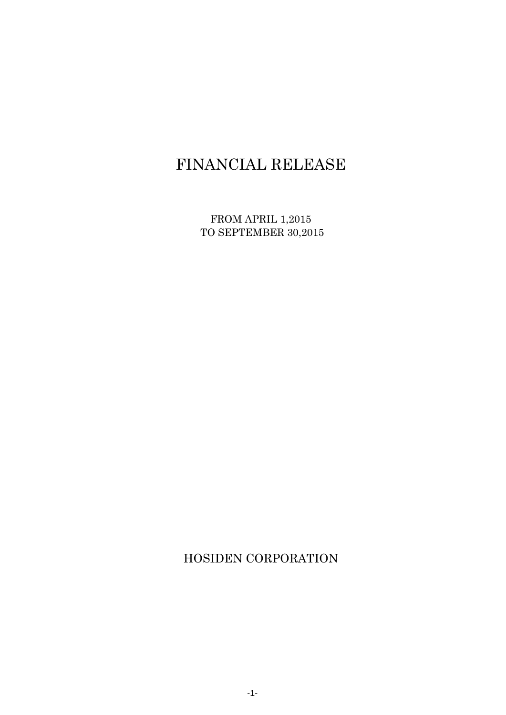# FINANCIAL RELEASE

FROM APRIL 1,2015 TO SEPTEMBER 30,2015

HOSIDEN CORPORATION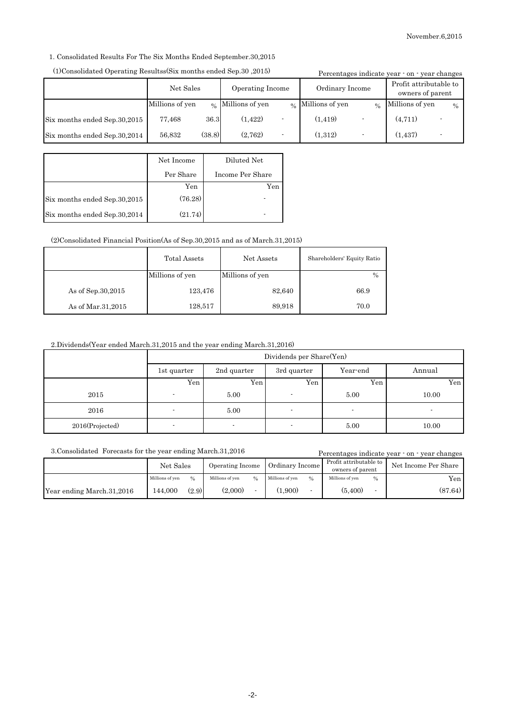1. Consolidated Results For The Six Months Ended September.30,2015

| (1)Consolidated Operating Resultss(Six months ended Sep.30, 2015) |                 |        |                                  |                          |                               |     | Percentages indicate year · on · year changes |                          |
|-------------------------------------------------------------------|-----------------|--------|----------------------------------|--------------------------|-------------------------------|-----|-----------------------------------------------|--------------------------|
|                                                                   | Net Sales       |        | Operating Income                 |                          | Ordinary Income               |     | Profit attributable to<br>owners of parent    |                          |
|                                                                   | Millions of yen |        | $\mathfrak{g}_6$ Millions of yen |                          | $\frac{1}{2}$ Millions of yen | 0/2 | Millions of yen                               | $\frac{0}{0}$            |
| Six months ended Sep.30,2015                                      | 77,468          | 36.3   | (1, 422)                         | $\overline{\phantom{a}}$ | (1, 419)                      |     | (4, 711)                                      | $\overline{\phantom{0}}$ |
| Six months ended Sep.30,2014                                      | 56.832          | (38.8) | (2.762)                          | $\overline{\phantom{a}}$ | (1.312)                       |     | (1, 437)                                      |                          |

#### (1)Consolidated Operating Resultss(Six months ended Sep.30 ,2015)

|                              | Net Income | Diluted Net      |
|------------------------------|------------|------------------|
|                              | Per Share  | Income Per Share |
|                              | Yen        | Yen              |
| Six months ended Sep.30,2015 | (76.28)    |                  |
| Six months ended Sep.30,2014 | (21.74)    |                  |

(2)Consolidated Financial Position(As of Sep.30,2015 and as of March.31,2015)

|                     | Total Assets<br>Net Assets |                 | Shareholders' Equity Ratio |
|---------------------|----------------------------|-----------------|----------------------------|
|                     | Millions of yen            | Millions of yen | $\frac{0}{0}$              |
| As of Sep. 30, 2015 | 123,476                    | 82,640          | 66.9                       |
| As of Mar. 31, 2015 | 128,517                    | 89,918          | 70.0                       |

2.Dividends(Year ended March.31,2015 and the year ending March.31,2016)

|                 | Dividends per Share(Yen) |             |             |          |        |  |
|-----------------|--------------------------|-------------|-------------|----------|--------|--|
|                 | 1st quarter              | 2nd quarter | 3rd quarter | Year-end | Annual |  |
|                 | Yen                      | Yen.        | Yen         | Yen      | Yen    |  |
| 2015            |                          | 5.00        |             | 5.00     | 10.00  |  |
| 2016            |                          | 5.00        |             |          |        |  |
| 2016(Projected) |                          |             |             | 5.00     | 10.00  |  |

3.Consolidated Forecasts for the year ending March.31,2016

Percentages indicate year - on - year changes

|                           | Net Sales       |               | Operating Income |     |                 |               |                 |               |         |  |  |  | Ordinary Income |  | Profit attributable to<br>owners of parent |  | Net Income Per Share |
|---------------------------|-----------------|---------------|------------------|-----|-----------------|---------------|-----------------|---------------|---------|--|--|--|-----------------|--|--------------------------------------------|--|----------------------|
|                           | Millions of ven | $\frac{0}{0}$ | Millions of ven  | 0/2 | Millions of ven | $\frac{0}{6}$ | Millions of ven | $\frac{0}{0}$ | Yen.    |  |  |  |                 |  |                                            |  |                      |
| Year ending March.31,2016 | 144.000         | (2.9)         | (2.000)          |     | (0.900)         |               | (5,400)         |               | (87.64) |  |  |  |                 |  |                                            |  |                      |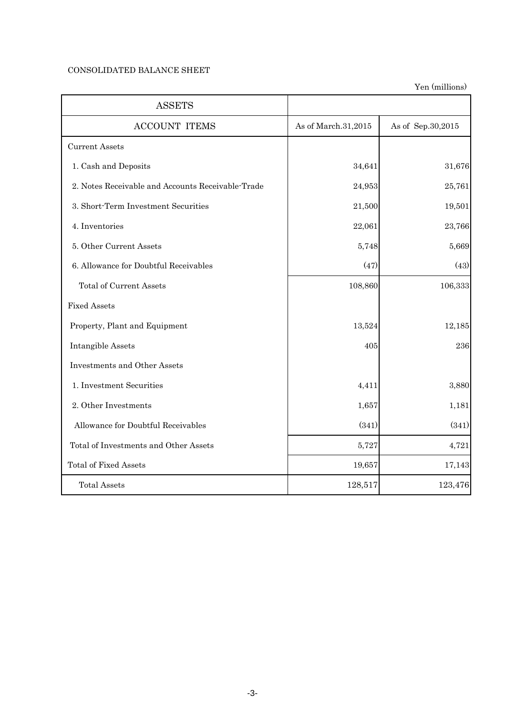## CONSOLIDATED BALANCE SHEET

Yen (millions)

| <b>ASSETS</b>                                     |                     |                   |
|---------------------------------------------------|---------------------|-------------------|
| <b>ACCOUNT ITEMS</b>                              | As of March.31,2015 | As of Sep.30,2015 |
| <b>Current Assets</b>                             |                     |                   |
| 1. Cash and Deposits                              | 34,641              | 31,676            |
| 2. Notes Receivable and Accounts Receivable-Trade | 24,953              | 25,761            |
| 3. Short-Term Investment Securities               | 21,500              | 19,501            |
| 4. Inventories                                    | 22,061              | 23,766            |
| 5. Other Current Assets                           | 5,748               | 5,669             |
| 6. Allowance for Doubtful Receivables             | (47)                | (43)              |
| <b>Total of Current Assets</b>                    | 108,860             | 106,333           |
| <b>Fixed Assets</b>                               |                     |                   |
| Property, Plant and Equipment                     | 13,524              | 12,185            |
| Intangible Assets                                 | 405                 | 236               |
| Investments and Other Assets                      |                     |                   |
| 1. Investment Securities                          | 4,411               | 3,880             |
| 2. Other Investments                              | 1,657               | 1,181             |
| Allowance for Doubtful Receivables                | (341)               | (341)             |
| Total of Investments and Other Assets             | 5,727               | 4,721             |
| <b>Total of Fixed Assets</b>                      | 19,657              | 17,143            |
| <b>Total Assets</b>                               | 128,517             | 123,476           |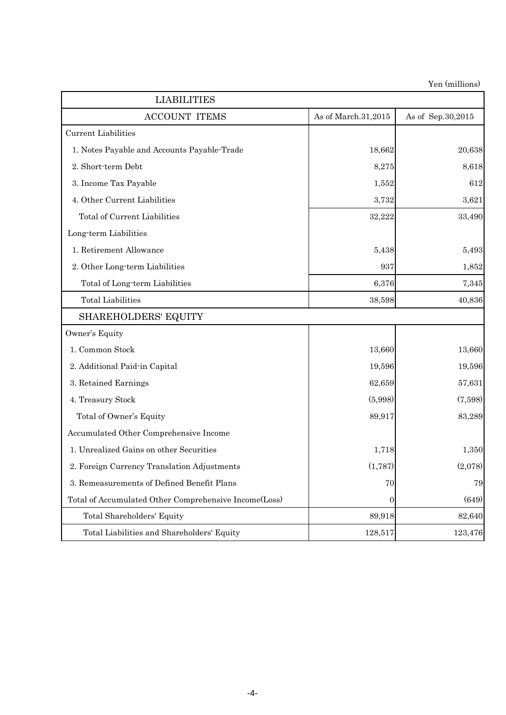Yen (millions)

| <b>LIABILITIES</b>                                    |                     | ren <i>(mimions)</i> |
|-------------------------------------------------------|---------------------|----------------------|
| <b>ACCOUNT ITEMS</b>                                  | As of March.31,2015 | As of Sep.30,2015    |
| Current Liabilities                                   |                     |                      |
| 1. Notes Payable and Accounts Payable Trade           | 18,662              | 20,638               |
| 2. Short-term Debt                                    | 8,275               | 8,618                |
| 3. Income Tax Payable                                 | 1,552               | 612                  |
| 4. Other Current Liabilities                          | 3,732               | 3,621                |
| Total of Current Liabilities                          | 32,222              | 33,490               |
| Long-term Liabilities                                 |                     |                      |
| 1. Retirement Allowance                               | 5,438               | 5,493                |
| 2. Other Long-term Liabilities                        | 937                 | 1,852                |
| Total of Long-term Liabilities                        | 6,376               | 7,345                |
| <b>Total Liabilities</b>                              | 38,598              | 40,836               |
| <b>SHAREHOLDERS' EQUITY</b>                           |                     |                      |
| Owner's Equity                                        |                     |                      |
| 1. Common Stock                                       | 13,660              | 13,660               |
| 2. Additional Paid-in Capital                         | 19,596              | 19,596               |
| 3. Retained Earnings                                  | 62,659              | 57,631               |
| 4. Treasury Stock                                     | (5,998)             | (7,598)              |
| Total of Owner's Equity                               | 89,917              | 83,289               |
| Accumulated Other Comprehensive Income                |                     |                      |
| 1. Unrealized Gains on other Securities               | 1,718               | 1,350                |
| 2. Foreign Currency Translation Adjustments           | (1,787)             | (2,078)              |
| 3. Remeasurements of Defined Benefit Plans            | 70                  | 79                   |
| Total of Accumulated Other Comprehensive Income(Loss) | 0                   | (649)                |
| Total Shareholders' Equity                            | 89,918              | 82,640               |
| Total Liabilities and Shareholders' Equity            | 128,517             | 123,476              |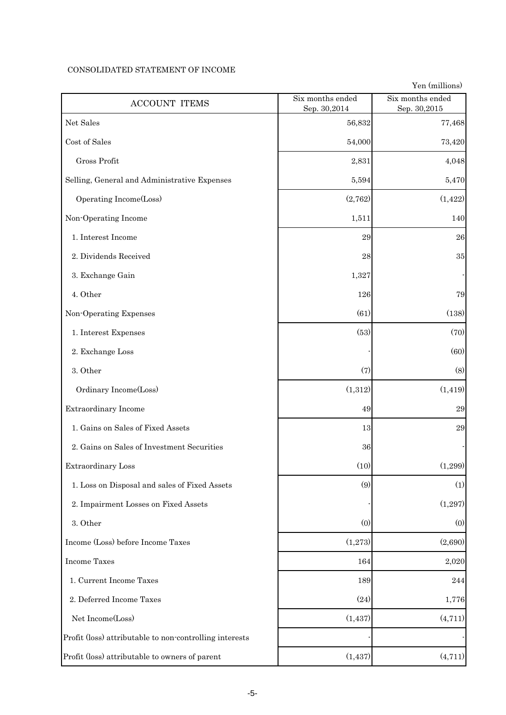### CONSOLIDATED STATEMENT OF INCOME

Yen (millions)

| <b>ACCOUNT ITEMS</b>                                    | Six months ended<br>Sep. 30,2014 | Six months ended<br>Sep. 30,2015 |
|---------------------------------------------------------|----------------------------------|----------------------------------|
| Net Sales                                               | 56,832                           | 77,468                           |
| Cost of Sales                                           | 54,000                           | 73,420                           |
| Gross Profit                                            | 2,831                            | 4,048                            |
| Selling, General and Administrative Expenses            | 5,594                            | 5,470                            |
| Operating Income(Loss)                                  | (2,762)                          | (1, 422)                         |
| Non-Operating Income                                    | 1,511                            | 140                              |
| 1. Interest Income                                      | 29                               | 26                               |
| 2. Dividends Received                                   | 28                               | $35\,$                           |
| 3. Exchange Gain                                        | 1,327                            |                                  |
| 4. Other                                                | 126                              | 79                               |
| Non-Operating Expenses                                  | (61)                             | (138)                            |
| 1. Interest Expenses                                    | (53)                             | (70)                             |
| 2. Exchange Loss                                        |                                  | (60)                             |
| 3. Other                                                | (7)                              | (8)                              |
| Ordinary Income(Loss)                                   | (1,312)                          | (1, 419)                         |
| Extraordinary Income                                    | 49                               | $\,29$                           |
| 1. Gains on Sales of Fixed Assets                       | 13                               | 29                               |
| 2. Gains on Sales of Investment Securities              | 36                               |                                  |
| Extraordinary Loss                                      | (10)                             | (1,299)                          |
| 1. Loss on Disposal and sales of Fixed Assets           | (9)                              | (1)                              |
| 2. Impairment Losses on Fixed Assets                    |                                  | (1,297)                          |
| 3. Other                                                | (0)                              | (0)                              |
| Income (Loss) before Income Taxes                       | (1,273)                          | (2,690)                          |
| <b>Income Taxes</b>                                     | 164                              | 2,020                            |
| 1. Current Income Taxes                                 | 189                              | 244                              |
| 2. Deferred Income Taxes                                | (24)                             | 1,776                            |
| Net Income(Loss)                                        | (1, 437)                         | (4, 711)                         |
| Profit (loss) attributable to non-controlling interests |                                  |                                  |
| Profit (loss) attributable to owners of parent          | (1, 437)                         | (4, 711)                         |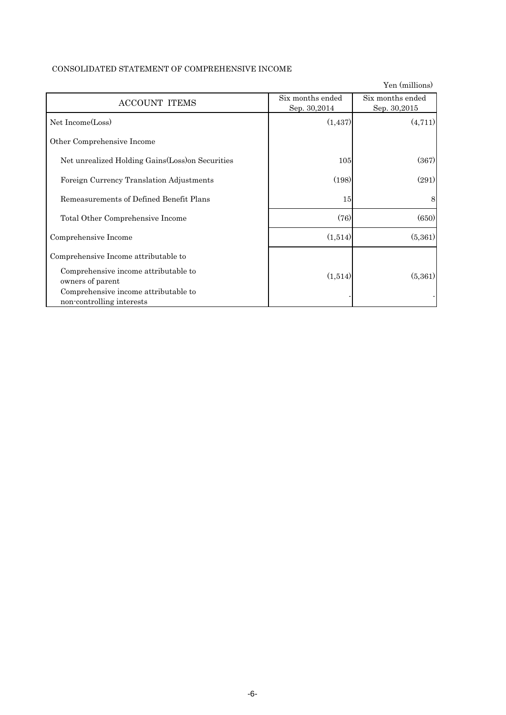|  |  | CONSOLIDATED STATEMENT OF COMPREHENSIVE INCOME |  |
|--|--|------------------------------------------------|--|
|--|--|------------------------------------------------|--|

|                                                                   |                                  | Yen (millions)                   |
|-------------------------------------------------------------------|----------------------------------|----------------------------------|
| <b>ACCOUNT ITEMS</b>                                              | Six months ended<br>Sep. 30,2014 | Six months ended<br>Sep. 30,2015 |
| Net Income(Loss)                                                  | (1, 437)                         | (4,711)                          |
| Other Comprehensive Income                                        |                                  |                                  |
| Net unrealized Holding Gains (Loss) on Securities                 | 105                              | (367)                            |
| Foreign Currency Translation Adjustments                          | (198)                            | (291)                            |
| Remeasurements of Defined Benefit Plans                           | 15                               | 8                                |
| Total Other Comprehensive Income                                  | (76)                             | (650)                            |
| Comprehensive Income                                              | (1,514)                          | (5,361)                          |
| Comprehensive Income attributable to                              |                                  |                                  |
| Comprehensive income attributable to<br>owners of parent          | (1,514)                          | (5,361)                          |
| Comprehensive income attributable to<br>non-controlling interests |                                  |                                  |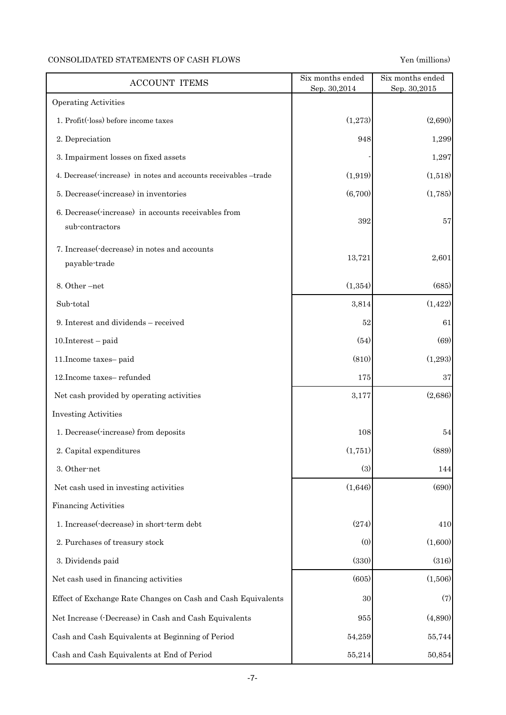## CONSOLIDATED STATEMENTS OF CASH FLOWS Yen (millions)

| <b>ACCOUNT ITEMS</b>                                                   | Six months ended<br>Sep. 30,2014 | Six months ended<br>Sep. 30,2015 |
|------------------------------------------------------------------------|----------------------------------|----------------------------------|
| <b>Operating Activities</b>                                            |                                  |                                  |
| 1. Profit(loss) before income taxes                                    | (1,273)                          | (2,690)                          |
| 2. Depreciation                                                        | 948                              | 1,299                            |
| 3. Impairment losses on fixed assets                                   |                                  | 1,297                            |
| 4. Decrease(-increase) in notes and accounts receivables -trade        | (1, 919)                         | (1,518)                          |
| 5. Decrease(-increase) in inventories                                  | (6,700)                          | (1,785)                          |
| 6. Decrease(-increase) in accounts receivables from<br>sub-contractors | 392                              | 57                               |
| 7. Increase (-decrease) in notes and accounts<br>payable-trade         | 13,721                           | 2,601                            |
| 8. Other-net                                                           | (1, 354)                         | (685)                            |
| Sub-total                                                              | 3,814                            | (1, 422)                         |
| 9. Interest and dividends - received                                   | 52                               | 61                               |
| $10.$ Interest – paid                                                  | (54)                             | (69)                             |
| 11. Income taxes-paid                                                  | (810)                            | (1,293)                          |
| 12. Income taxes-refunded                                              | 175                              | $37\,$                           |
| Net cash provided by operating activities                              | 3,177                            | (2,686)                          |
| <b>Investing Activities</b>                                            |                                  |                                  |
| 1. Decrease(-increase) from deposits                                   | 108                              | 54                               |
| 2. Capital expenditures                                                | (1,751)                          | (889)                            |
| 3. Other-net                                                           | (3)                              | 144                              |
| Net cash used in investing activities                                  | (1,646)                          | (690)                            |
| <b>Financing Activities</b>                                            |                                  |                                  |
| 1. Increase (-decrease) in short-term debt                             | (274)                            | 410                              |
| 2. Purchases of treasury stock                                         | (0)                              | (1,600)                          |
| 3. Dividends paid                                                      | (330)                            | (316)                            |
| Net cash used in financing activities                                  | (605)                            | (1,506)                          |
| Effect of Exchange Rate Changes on Cash and Cash Equivalents           | 30                               | (7)                              |
| Net Increase (-Decrease) in Cash and Cash Equivalents                  | 955                              | (4,890)                          |
| Cash and Cash Equivalents at Beginning of Period                       | 54,259                           | 55,744                           |
| Cash and Cash Equivalents at End of Period                             | 55,214                           | 50,854                           |